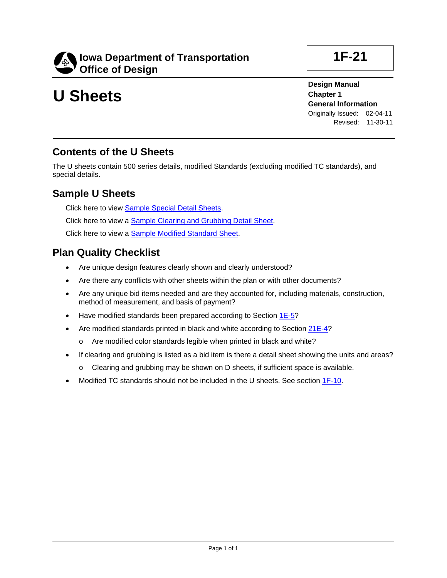

# **U Sheets**

**1F-21**

**Design Manual Chapter 1 General Information** Originally Issued: 02-04-11 Revised: 11-30-11

### **Contents of the U Sheets**

The U sheets contain 500 series details, modified Standards (excluding modified TC standards), and special details.

#### **Sample U Sheets**

Click here to view **Sample Special Detail Sheets**. Click here to view a **Sample Clearing and Grubbing Detail Sheet**. Click here to view a Sample Modified Standard Sheet.

#### **Plan Quality Checklist**

- Are unique design features clearly shown and clearly understood?
- Are there any conflicts with other sheets within the plan or with other documents?
- Are any unique bid items needed and are they accounted for, including materials, construction, method of measurement, and basis of payment?
- Have modified standards been prepared according to Section 1E-5?
- Are modified standards printed in black and white according to Section 21E-4?
	- o Are modified color standards legible when printed in black and white?
- If clearing and grubbing is listed as a bid item is there a detail sheet showing the units and areas?
	- o Clearing and grubbing may be shown on D sheets, if sufficient space is available.
- Modified TC standards should not be included in the U sheets. See section 1F-10.